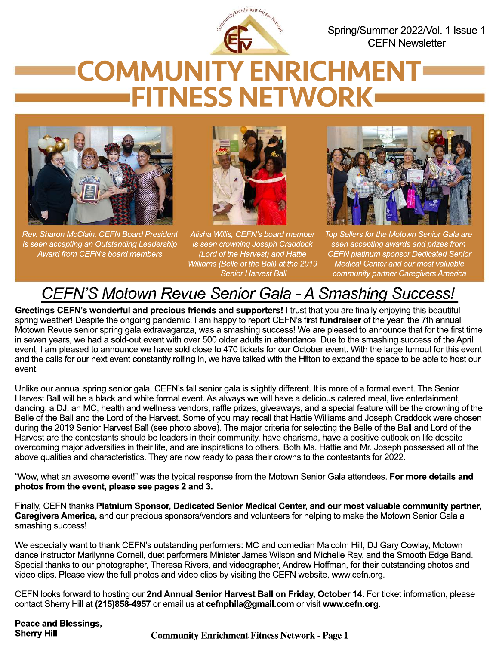

Spring/Summer 2022/Vol. 1 Issue 1 CEFN Newsletter

# COMMUNITY ENRICHMENT FITNESS NETWORK



*Rev. Sharon McClain, CEFN Board President is seen accepting an Outstanding Leadership Award from CEFN's board members*



*Alisha Willis, CEFN's board member is seen crowning Joseph Craddock (Lord of the Harvest) and Hattie Williams (Belle of the Ball) at the 2019 Senior Harvest Ball*



*Top Sellers for the Motown Senior Gala are seen accepting awards and prizes from CEFN platinum sponsor Dedicated Senior Medical Center and our most valuable community partner Caregivers America*

### CEFN'S Motown Revue Senior Gala - A Smashing Success!

**Greetings CEFN's wonderful and precious friends and supporters!** I trust that you are finally enjoying this beautiful spring weather! Despite the ongoing pandemic, I am happy to report CEFN's first **fundraiser** of the year, the 7th annual Motown Revue senior spring gala extravaganza, was a smashing success! We are pleased to announce that for the first time in seven years, we had a sold-out event with over 500 older adults in attendance. Due to the smashing success of the April event, I am pleased to announce we have sold close to 470 tickets for our October event. With the large turnout for this event and the calls for our next event constantly rolling in, we have talked with the Hilton to expand the space to be able to host our event.

Unlike our annual spring senior gala, CEFN's fall senior gala is slightly different. It is more of a formal event. The Senior Harvest Ball will be a black and white formal event. As always we will have a delicious catered meal, live entertainment, dancing, a DJ, an MC, health and wellness vendors, raffle prizes, giveaways, and a special feature will be the crowning of the Belle of the Ball and the Lord of the Harvest. Some of you may recall that Hattie Williams and Joseph Craddock were chosen during the 2019 Senior Harvest Ball (see photo above). The major criteria for selecting the Belle of the Ball and Lord of the Harvest are the contestants should be leaders in their community, have charisma, have a positive outlook on life despite overcoming major adversities in their life, and are inspirations to others. Both Ms. Hattie and Mr. Joseph possessed all of the above qualities and characteristics. They are now ready to pass their crowns to the contestants for 2022.

"Wow, what an awesome event!" was the typical response from the Motown Senior Gala attendees. **For more details and photos from the event, please see pages 2 and 3.**

Finally, CEFN thanks **Platnium Sponsor, Dedicated Senior Medical Center, and our most valuable community partner, Caregivers America,** and our precious sponsors/vendors and volunteers for helping to make the Motown Senior Gala a smashing success!

We especially want to thank CEFN's outstanding performers: MC and comedian Malcolm Hill, DJ Gary Cowlay, Motown dance instructor Marilynne Cornell, duet performers Minister James Wilson and Michelle Ray, and the Smooth Edge Band. Special thanks to our photographer, Theresa Rivers, and videographer, Andrew Hoffman, for their outstanding photos and video clips. Please view the full photos and video clips by visiting the CEFN website, www.cefn.org.

CEFN looks forward to hosting our **2nd Annual Senior Harvest Ball on Friday, October 14.** For ticket information, please contact Sherry Hill at **(215)858-4957** or email us at **cefnphila@gmail.com** or visit **www.cefn.org.**

**Peace and Blessings,**

**Community Enrichment Fitness Network - Page 1**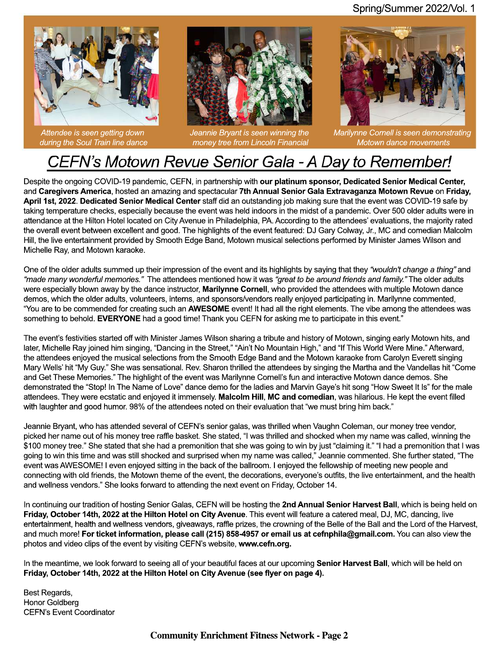

*Attendee is seen getting down during the Soul Train line dance*



*Jeannie Bryant is seen winning the money tree from Lincoln Financial*



*Marilynne Cornell is seen demonstrating Motown dance movements*

#### CEFN's Motown Revue Senior Gala - A Day to Remember!

Despite the ongoing COVID-19 pandemic, CEFN, in partnership with **our platinum sponsor, Dedicated Senior Medical Center,**  and **Caregivers America**, hosted an amazing and spectacular **7th Annual Senior Gala Extravaganza Motown Revue** on **Friday, April 1st, 2022**. **Dedicated Senior Medical Center** staff did an outstanding job making sure that the event was COVID-19 safe by taking temperature checks, especially because the event was held indoors in the midst of a pandemic. Over 500 older adults were in attendance at the Hilton Hotel located on City Avenue in Philadelphia, PA. According to the attendees' evaluations, the majority rated the overall event between excellent and good. The highlights of the event featured: DJ Gary Colway, Jr., MC and comedian Malcolm Hill, the live entertainment provided by Smooth Edge Band, Motown musical selections performed by Minister James Wilson and Michelle Ray, and Motown karaoke.

One of the older adults summed up their impression of the event and its highlights by saying that they *"wouldn't change a thing"* and *"made many wonderful memories."* The attendees mentioned how it was *"great to be around friends and family."* The older adults were especially blown away by the dance instructor, **Marilynne Cornell**, who provided the attendees with multiple Motown dance demos, which the older adults, volunteers, interns, and sponsors/vendors really enjoyed participating in. Marilynne commented, "You are to be commended for creating such an **AWESOME** event! It had all the right elements. The vibe among the attendees was something to behold. **EVERYONE** had a good time! Thank you CEFN for asking me to participate in this event."

The event's festivities started off with Minister James Wilson sharing a tribute and history of Motown, singing early Motown hits, and later, Michelle Ray joined him singing, "Dancing in the Street," "Ain't No Mountain High," and "If This World Were Mine." Afterward, the attendees enjoyed the musical selections from the Smooth Edge Band and the Motown karaoke from Carolyn Everett singing Mary Wells' hit "My Guy." She was sensational. Rev. Sharon thrilled the attendees by singing the Martha and the Vandellas hit "Come and Get These Memories." The highlight of the event was Marilynne Cornell's fun and interactive Motown dance demos. She demonstrated the "Stop! In The Name of Love" dance demo for the ladies and Marvin Gaye's hit song "How Sweet It Is" for the male attendees. They were ecstatic and enjoyed it immensely. **Malcolm Hill**, **MC and comedian**, was hilarious. He kept the event filled with laughter and good humor. 98% of the attendees noted on their evaluation that "we must bring him back."

Jeannie Bryant, who has attended several of CEFN's senior galas, was thrilled when Vaughn Coleman, our money tree vendor, picked her name out of his money tree raffle basket. She stated, "I was thrilled and shocked when my name was called, winning the \$100 money tree." She stated that she had a premonition that she was going to win by just "claiming it." "I had a premonition that I was going to win this time and was still shocked and surprised when my name was called," Jeannie commented. She further stated, "The event was AWESOME! I even enjoyed sitting in the back of the ballroom. I enjoyed the fellowship of meeting new people and connecting with old friends, the Motown theme of the event, the decorations, everyone's outfits, the live entertainment, and the health and wellness vendors." She looks forward to attending the next event on Friday, October 14.

In continuing our tradition of hosting Senior Galas, CEFN will be hosting the **2nd Annual Senior Harvest Ball**, which is being held on **Friday, October 14th, 2022 at the Hilton Hotel on City Avenue**. This event will feature a catered meal, DJ, MC, dancing, live entertainment, health and wellness vendors, giveaways, raffle prizes, the crowning of the Belle of the Ball and the Lord of the Harvest, and much more! **For ticket information, please call (215) 858-4957 or email us at cefnphila@gmail.com.** You can also view the photos and video clips of the event by visiting CEFN's website, **www.cefn.org.** 

In the meantime, we look forward to seeing all of your beautiful faces at our upcoming **Senior Harvest Ball**, which will be held on **Friday, October 14th, 2022 at the Hilton Hotel on City Avenue (see flyer on page 4).**

Best Regards, Honor Goldberg CEFN's Event Coordinator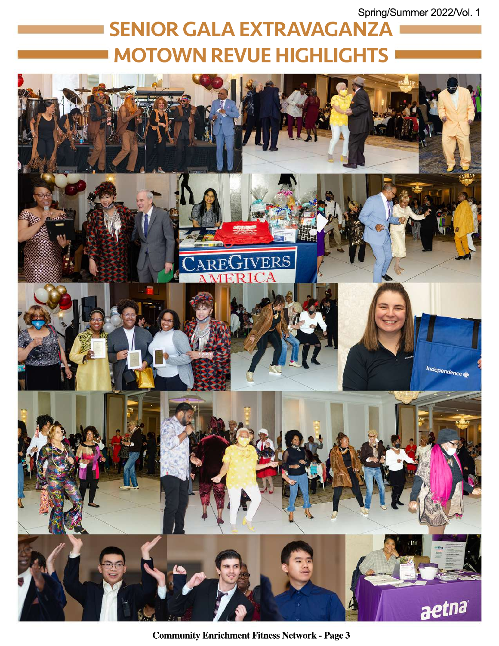Spring/Summer 2022/Vol. 1

## SENIOR GALA EXTRAVAGANZA MOTOWN REVUE HIGHLIGHTS



**Community Enrichment Fitness Network - Page 3**